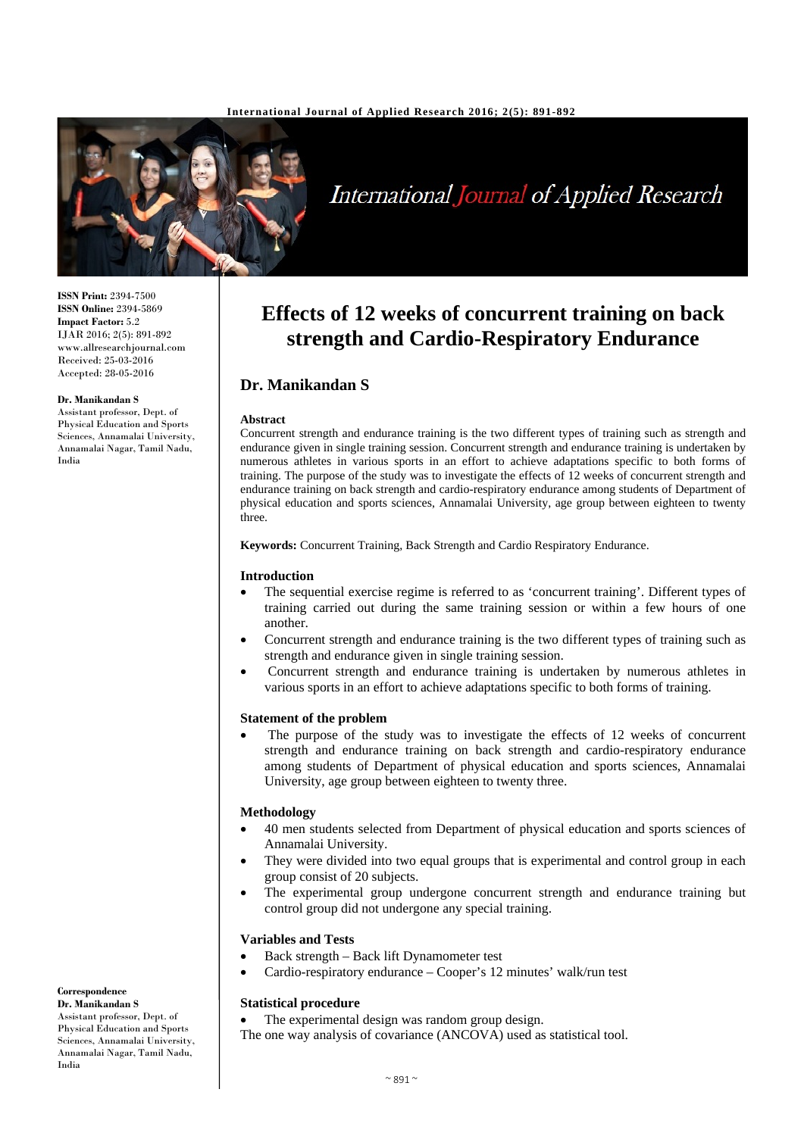#### **International Journal of Applied Research 2016; 2(5): 891-892**



# International Journal of Applied Research

**ISSN Print:** 2394-7500 **ISSN Online:** 2394-5869 **Impact Factor:** 5.2 IJAR 2016; 2(5): 891-892 www.allresearchjournal.com Received: 25-03-2016 Accepted: 28-05-2016

#### **Dr. Manikandan S**

Assistant professor, Dept. of Physical Education and Sports Sciences, Annamalai University, Annamalai Nagar, Tamil Nadu, India

# **Effects of 12 weeks of concurrent training on back strength and Cardio-Respiratory Endurance**

# **Dr. Manikandan S**

#### **Abstract**

Concurrent strength and endurance training is the two different types of training such as strength and endurance given in single training session. Concurrent strength and endurance training is undertaken by numerous athletes in various sports in an effort to achieve adaptations specific to both forms of training. The purpose of the study was to investigate the effects of 12 weeks of concurrent strength and endurance training on back strength and cardio-respiratory endurance among students of Department of physical education and sports sciences, Annamalai University, age group between eighteen to twenty three.

**Keywords:** Concurrent Training, Back Strength and Cardio Respiratory Endurance.

## **Introduction**

- The sequential exercise regime is referred to as 'concurrent training'. Different types of training carried out during the same training session or within a few hours of one another.
- Concurrent strength and endurance training is the two different types of training such as strength and endurance given in single training session.
- Concurrent strength and endurance training is undertaken by numerous athletes in various sports in an effort to achieve adaptations specific to both forms of training.

## **Statement of the problem**

The purpose of the study was to investigate the effects of 12 weeks of concurrent strength and endurance training on back strength and cardio-respiratory endurance among students of Department of physical education and sports sciences, Annamalai University, age group between eighteen to twenty three.

### **Methodology**

- 40 men students selected from Department of physical education and sports sciences of Annamalai University.
- They were divided into two equal groups that is experimental and control group in each group consist of 20 subjects.
- The experimental group undergone concurrent strength and endurance training but control group did not undergone any special training.

## **Variables and Tests**

- Back strength Back lift Dynamometer test
- Cardio-respiratory endurance Cooper's 12 minutes' walk/run test

### **Statistical procedure**

The experimental design was random group design.

The one way analysis of covariance (ANCOVA) used as statistical tool.

#### **Correspondence Dr. Manikandan S**

Assistant professor, Dept. of Physical Education and Sports Sciences, Annamalai University, Annamalai Nagar, Tamil Nadu, India